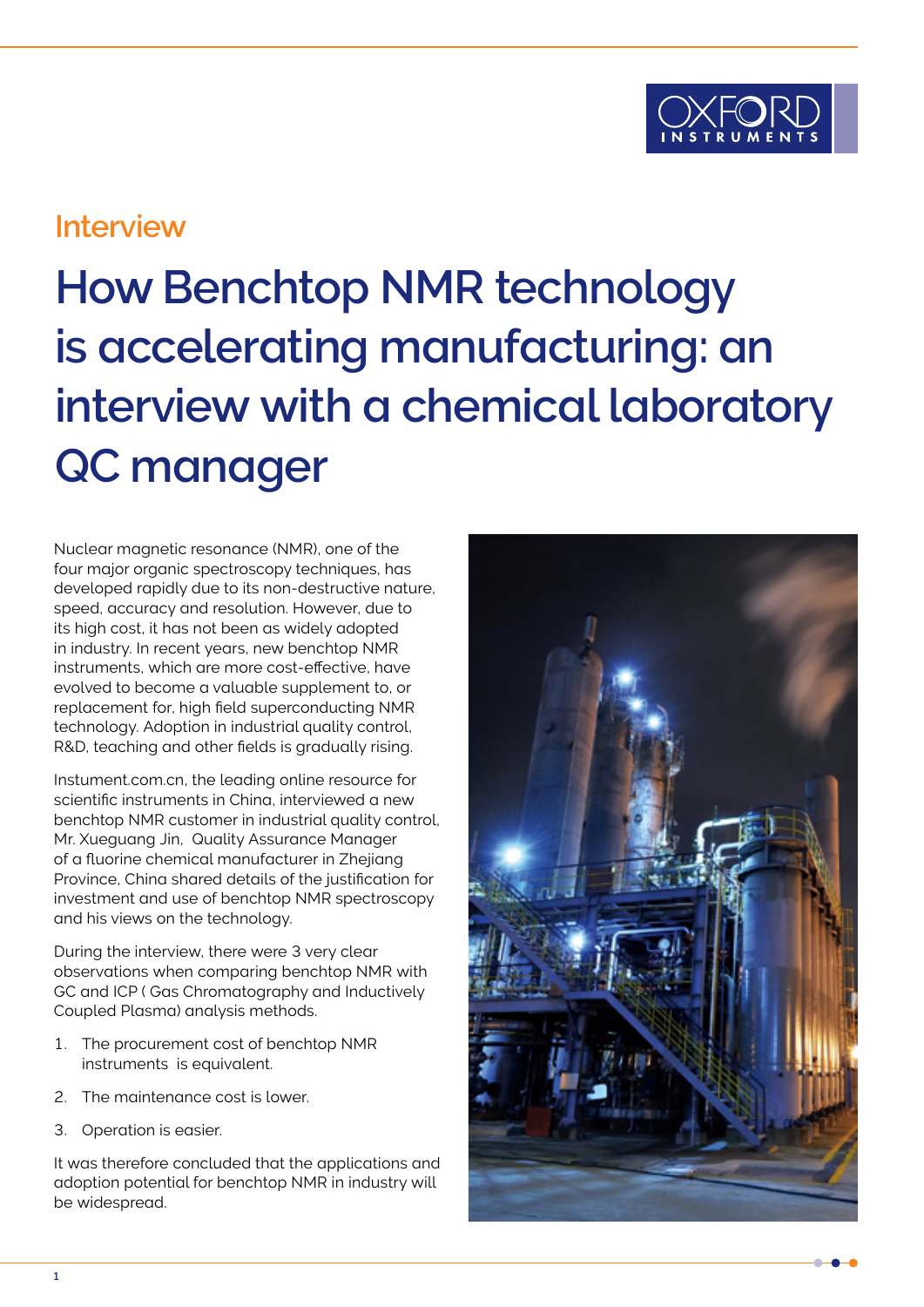

## **Interview**

# **How Benchtop NMR technology is accelerating manufacturing: an interview with a chemical laboratory QC manager**

Nuclear magnetic resonance (NMR), one of the four major organic spectroscopy techniques, has developed rapidly due to its non-destructive nature, speed, accuracy and resolution. However, due to its high cost, it has not been as widely adopted in industry. In recent years, new benchtop NMR instruments, which are more cost-effective, have evolved to become a valuable supplement to, or replacement for, high field superconducting NMR technology. Adoption in industrial quality control, R&D, teaching and other fields is gradually rising.

Instument.com.cn, the leading online resource for scientific instruments in China, interviewed a new benchtop NMR customer in industrial quality control, Mr. Xueguang Jin, Quality Assurance Manager of a fluorine chemical manufacturer in Zhejiang Province, China shared details of the justification for investment and use of benchtop NMR spectroscopy and his views on the technology.

During the interview, there were 3 very clear observations when comparing benchtop NMR with GC and ICP ( Gas Chromatography and Inductively Coupled Plasma) analysis methods.

- 1. The procurement cost of benchtop NMR instruments is equivalent.
- 2. The maintenance cost is lower.
- 3. Operation is easier.

It was therefore concluded that the applications and adoption potential for benchtop NMR in industry will be widespread.

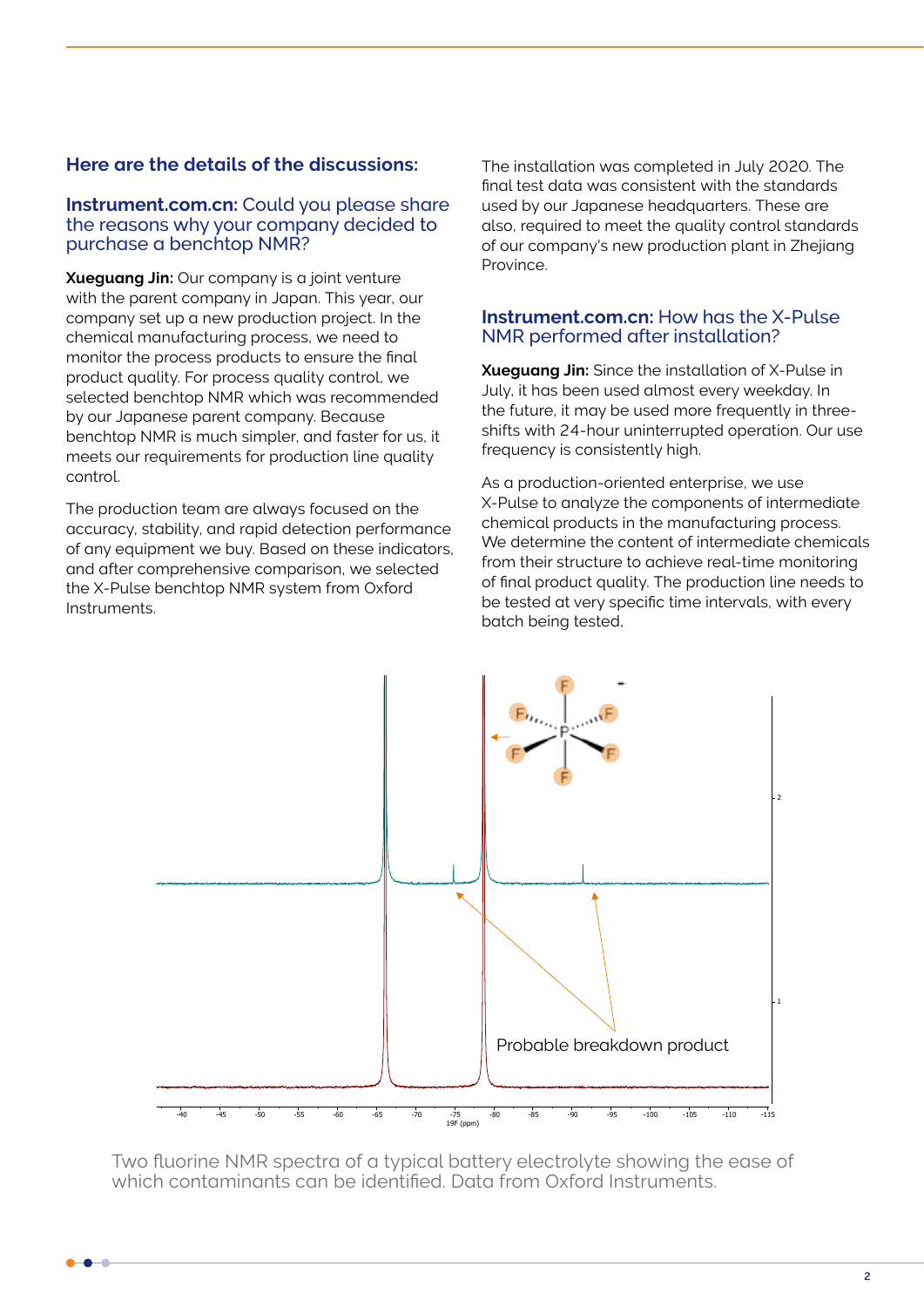#### **Here are the details of the discussions:**

#### **Instrument.com.cn:** Could you please share the reasons why your company decided to purchase a benchtop NMR?

**Xueguang Jin:** Our company is a joint venture with the parent company in Japan. This year, our company set up a new production project. In the chemical manufacturing process, we need to monitor the process products to ensure the final product quality. For process quality control, we selected benchtop NMR which was recommended by our Japanese parent company. Because benchtop NMR is much simpler, and faster for us, it meets our requirements for production line quality control.

The production team are always focused on the accuracy, stability, and rapid detection performance of any equipment we buy. Based on these indicators, and after comprehensive comparison, we selected the X-Pulse benchtop NMR system from Oxford Instruments.

The installation was completed in July 2020. The final test data was consistent with the standards used by our Japanese headquarters. These are also, required to meet the quality control standards of our company's new production plant in Zhejiang Province.

#### **Instrument.com.cn:** How has the X-Pulse NMR performed after installation?

**Xueguang Jin:** Since the installation of X-Pulse in July, it has been used almost every weekday. In the future, it may be used more frequently in threeshifts with 24-hour uninterrupted operation. Our use frequency is consistently high.

As a production-oriented enterprise, we use X-Pulse to analyze the components of intermediate chemical products in the manufacturing process. We determine the content of intermediate chemicals from their structure to achieve real-time monitoring of final product quality. The production line needs to be tested at very specific time intervals, with every batch being tested,



Two fluorine NMR spectra of a typical battery electrolyte showing the ease of which contaminants can be identified. Data from Oxford Instruments.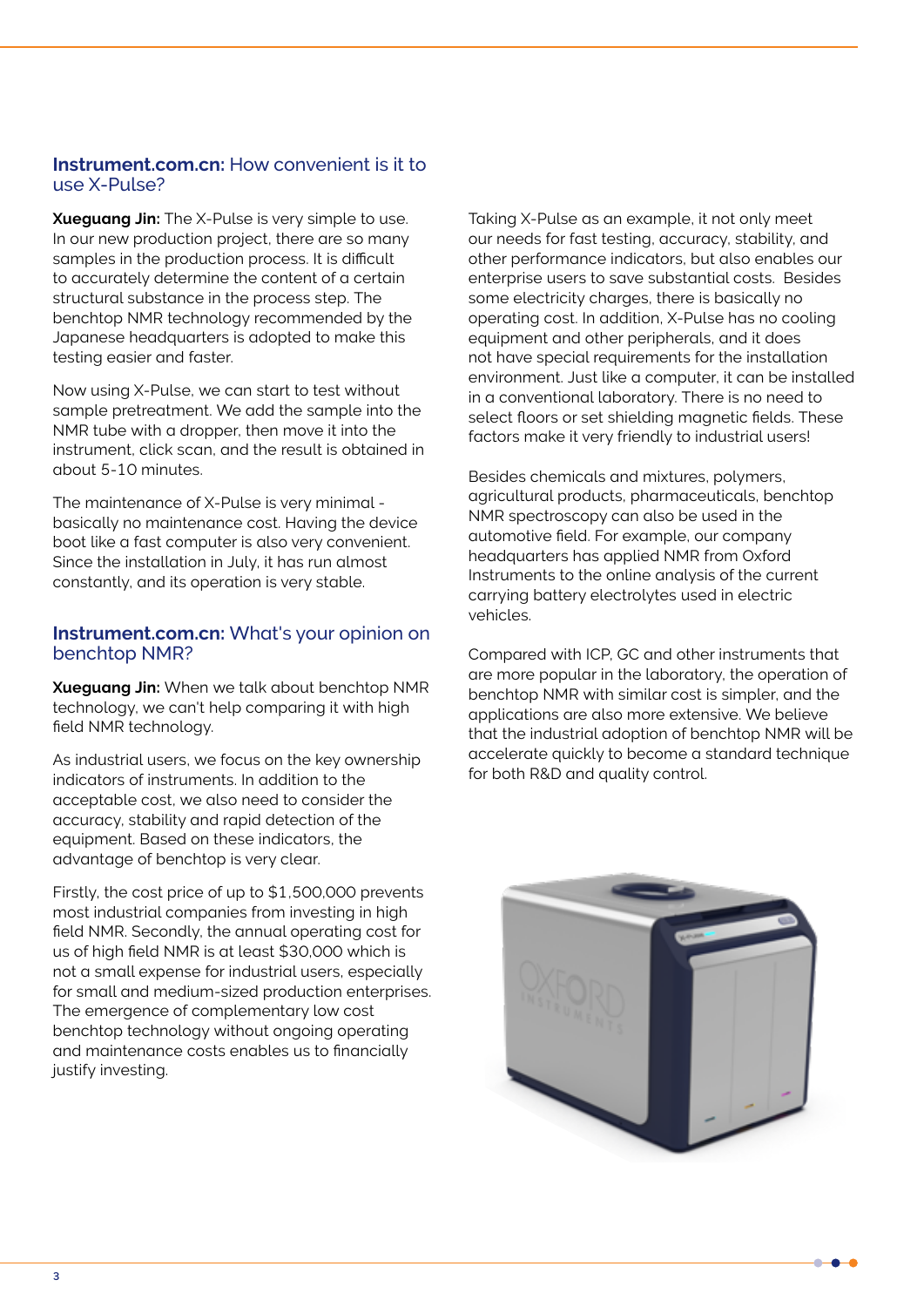#### **Instrument.com.cn:** How convenient is it to use X-Pulse?

**Xueguang Jin:** The X-Pulse is very simple to use. In our new production project, there are so many samples in the production process. It is difficult to accurately determine the content of a certain structural substance in the process step. The benchtop NMR technology recommended by the Japanese headquarters is adopted to make this testing easier and faster.

Now using X-Pulse, we can start to test without sample pretreatment. We add the sample into the NMR tube with a dropper, then move it into the instrument, click scan, and the result is obtained in about 5-10 minutes.

The maintenance of X-Pulse is very minimal basically no maintenance cost. Having the device boot like a fast computer is also very convenient. Since the installation in July, it has run almost constantly, and its operation is very stable.

#### **Instrument.com.cn:** What's your opinion on benchtop NMR?

**Xueguang Jin:** When we talk about benchtop NMR technology, we can't help comparing it with high field NMR technology.

As industrial users, we focus on the key ownership indicators of instruments. In addition to the acceptable cost, we also need to consider the accuracy, stability and rapid detection of the equipment. Based on these indicators, the advantage of benchtop is very clear.

Firstly, the cost price of up to \$1,500,000 prevents most industrial companies from investing in high field NMR. Secondly, the annual operating cost for us of high field NMR is at least \$30,000 which is not a small expense for industrial users, especially for small and medium-sized production enterprises. The emergence of complementary low cost benchtop technology without ongoing operating and maintenance costs enables us to financially justify investing.

Taking X-Pulse as an example, it not only meet our needs for fast testing, accuracy, stability, and other performance indicators, but also enables our enterprise users to save substantial costs. Besides some electricity charges, there is basically no operating cost. In addition, X-Pulse has no cooling equipment and other peripherals, and it does not have special requirements for the installation environment. Just like a computer, it can be installed in a conventional laboratory. There is no need to select floors or set shielding magnetic fields. These factors make it very friendly to industrial users!

Besides chemicals and mixtures, polymers, agricultural products, pharmaceuticals, benchtop NMR spectroscopy can also be used in the automotive field. For example, our company headquarters has applied NMR from Oxford Instruments to the online analysis of the current carrying battery electrolytes used in electric vehicles.

Compared with ICP, GC and other instruments that are more popular in the laboratory, the operation of benchtop NMR with similar cost is simpler, and the applications are also more extensive. We believe that the industrial adoption of benchtop NMR will be accelerate quickly to become a standard technique for both R&D and quality control.